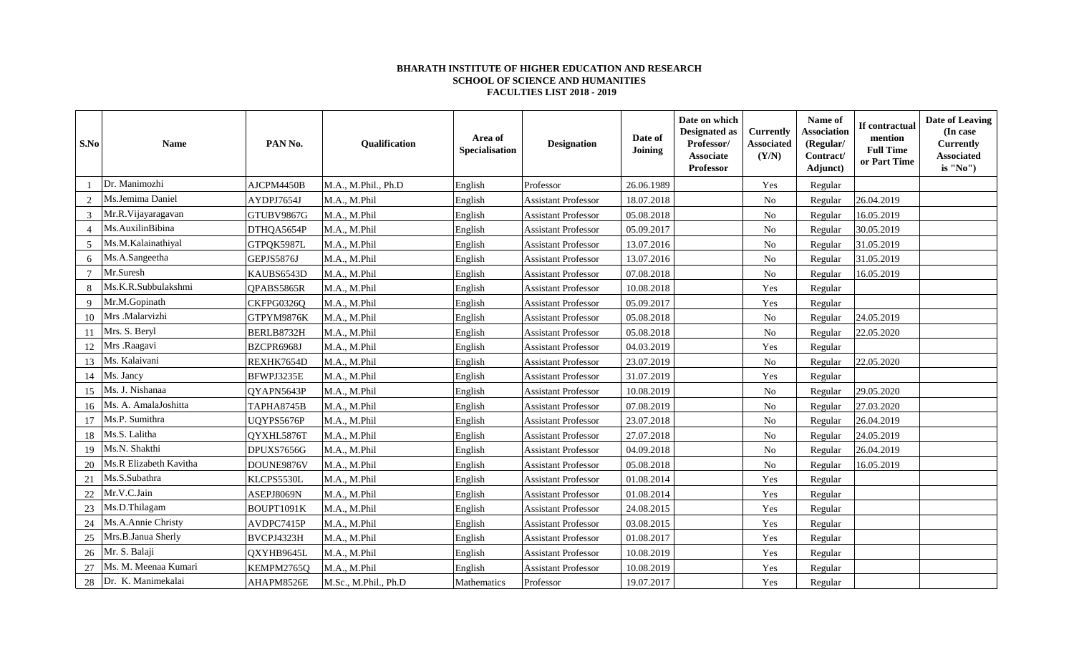## **BHARATH INSTITUTE OF HIGHER EDUCATION AND RESEARCH SCHOOL OF SCIENCE AND HUMANITIES FACULTIES LIST 2018 - 2019**

| S.No           | <b>Name</b>            | PAN <sub>No</sub> . | Qualification        | Area of<br>Specialisation | <b>Designation</b>         | Date of<br><b>Joining</b> | Date on which<br><b>Designated as</b><br>Professor/<br>Associate<br>Professor | <b>Currently</b><br><b>Associated</b><br>(Y/N) | Name of<br><b>Association</b><br>(Regular/<br>Contract/<br>Adjunct) | If contractual<br>mention<br><b>Full Time</b><br>or Part Time | Date of Leaving<br>(In case<br><b>Currently</b><br><b>Associated</b><br>is "No") |
|----------------|------------------------|---------------------|----------------------|---------------------------|----------------------------|---------------------------|-------------------------------------------------------------------------------|------------------------------------------------|---------------------------------------------------------------------|---------------------------------------------------------------|----------------------------------------------------------------------------------|
|                | Dr. Manimozhi          | AJCPM4450B          | M.A., M.Phil., Ph.D  | English                   | Professor                  | 26.06.1989                |                                                                               | Yes                                            | Regular                                                             |                                                               |                                                                                  |
| 2              | Ms.Jemima Daniel       | AYDPJ7654J          | M.A., M.Phil         | English                   | <b>Assistant Professor</b> | 18.07.2018                |                                                                               | No                                             | Regular                                                             | 26.04.2019                                                    |                                                                                  |
| 3              | Mr.R.Vijayaragavan     | GTUBV9867G          | M.A., M.Phil         | English                   | <b>Assistant Professor</b> | 05.08.2018                |                                                                               | No                                             | Regular                                                             | 16.05.2019                                                    |                                                                                  |
| $\overline{4}$ | Ms.AuxilinBibina       | DTHQA5654P          | M.A., M.Phil         | English                   | <b>Assistant Professor</b> | 05.09.2017                |                                                                               | No                                             | Regular                                                             | 30.05.2019                                                    |                                                                                  |
| 5              | Ms.M.Kalainathiyal     | GTPQK5987L          | M.A., M.Phil         | English                   | <b>Assistant Professor</b> | 13.07.2016                |                                                                               | No                                             | Regular                                                             | 31.05.2019                                                    |                                                                                  |
| 6              | Ms.A.Sangeetha         | GEPJS5876J          | M.A., M.Phil         | English                   | <b>Assistant Professor</b> | 13.07.2016                |                                                                               | $\rm No$                                       | Regular                                                             | 31.05.2019                                                    |                                                                                  |
| $\overline{7}$ | Mr.Suresh              | KAUBS6543D          | M.A., M.Phil         | English                   | <b>Assistant Professor</b> | 07.08.2018                |                                                                               | ${\rm No}$                                     | Regular                                                             | 16.05.2019                                                    |                                                                                  |
|                | Ms.K.R.Subbulakshmi    | QPABS5865R          | M.A., M.Phil         | English                   | <b>Assistant Professor</b> | 10.08.2018                |                                                                               | Yes                                            | Regular                                                             |                                                               |                                                                                  |
| 9              | Mr.M.Gopinath          | CKFPG0326Q          | M.A., M.Phil         | English                   | <b>Assistant Professor</b> | 05.09.2017                |                                                                               | Yes                                            | Regular                                                             |                                                               |                                                                                  |
| 10             | Mrs .Malarvizhi        | GTPYM9876K          | M.A., M.Phil         | English                   | <b>Assistant Professor</b> | 05.08.2018                |                                                                               | $\rm No$                                       | Regular                                                             | 24.05.2019                                                    |                                                                                  |
| 11             | Mrs. S. Beryl          | BERLB8732H          | M.A., M.Phil         | English                   | <b>Assistant Professor</b> | 05.08.2018                |                                                                               | ${\rm No}$                                     | Regular                                                             | 22.05.2020                                                    |                                                                                  |
| 12             | Mrs .Raagavi           | BZCPR6968J          | M.A., M.Phil         | English                   | <b>Assistant Professor</b> | 04.03.2019                |                                                                               | Yes                                            | Regular                                                             |                                                               |                                                                                  |
| 13             | Ms. Kalaivani          | REXHK7654D          | M.A., M.Phil         | English                   | <b>Assistant Professor</b> | 23.07.2019                |                                                                               | $\rm No$                                       | Regular                                                             | 22.05.2020                                                    |                                                                                  |
| 14             | Ms. Jancy              | BFWPJ3235E          | M.A., M.Phil         | English                   | <b>Assistant Professor</b> | 31.07.2019                |                                                                               | Yes                                            | Regular                                                             |                                                               |                                                                                  |
| 15             | Ms. J. Nishanaa        | QYAPN5643P          | M.A., M.Phil         | English                   | <b>Assistant Professor</b> | 10.08.2019                |                                                                               | No                                             | Regular                                                             | 29.05.2020                                                    |                                                                                  |
| 16             | Ms. A. AmalaJoshitta   | TAPHA8745B          | M.A., M.Phil         | English                   | <b>Assistant Professor</b> | 07.08.2019                |                                                                               | No                                             | Regular                                                             | 27.03.2020                                                    |                                                                                  |
| 17             | Ms.P. Sumithra         | UQYPS5676P          | M.A., M.Phil         | English                   | <b>Assistant Professor</b> | 23.07.2018                |                                                                               | $\rm No$                                       | Regular                                                             | 26.04.2019                                                    |                                                                                  |
| 18             | Ms.S. Lalitha          | QYXHL5876T          | M.A., M.Phil         | English                   | <b>Assistant Professor</b> | 27.07.2018                |                                                                               | $\rm No$                                       | Regular                                                             | 24.05.2019                                                    |                                                                                  |
| 19             | Ms.N. Shakthi          | DPUXS7656G          | M.A., M.Phil         | English                   | <b>Assistant Professor</b> | 04.09.2018                |                                                                               | No                                             | Regular                                                             | 26.04.2019                                                    |                                                                                  |
| 20             | Ms.R Elizabeth Kavitha | DOUNE9876V          | M.A., M.Phil         | English                   | <b>Assistant Professor</b> | 05.08.2018                |                                                                               | No                                             | Regular                                                             | 16.05.2019                                                    |                                                                                  |
| 21             | Ms.S.Subathra          | KLCPS5530L          | M.A., M.Phil         | English                   | <b>Assistant Professor</b> | 01.08.2014                |                                                                               | Yes                                            | Regular                                                             |                                                               |                                                                                  |
| 22             | Mr.V.C.Jain            | ASEPJ8069N          | M.A., M.Phil         | English                   | <b>Assistant Professor</b> | 01.08.2014                |                                                                               | Yes                                            | Regular                                                             |                                                               |                                                                                  |
| 23             | Ms.D.Thilagam          | BOUPT1091K          | M.A., M.Phil         | English                   | <b>Assistant Professor</b> | 24.08.2015                |                                                                               | Yes                                            | Regular                                                             |                                                               |                                                                                  |
| 24             | Ms.A.Annie Christy     | AVDPC7415P          | M.A., M.Phil         | English                   | <b>Assistant Professor</b> | 03.08.2015                |                                                                               | Yes                                            | Regular                                                             |                                                               |                                                                                  |
| 25             | Mrs.B.Janua Sherly     | BVCPJ4323H          | M.A., M.Phil         | English                   | <b>Assistant Professor</b> | 01.08.2017                |                                                                               | Yes                                            | Regular                                                             |                                                               |                                                                                  |
| 26             | Mr. S. Balaji          | QXYHB9645L          | M.A., M.Phil         | English                   | <b>Assistant Professor</b> | 10.08.2019                |                                                                               | Yes                                            | Regular                                                             |                                                               |                                                                                  |
| 27             | Ms. M. Meenaa Kumari   | KEMPM2765Q          | M.A., M.Phil         | English                   | <b>Assistant Professor</b> | 10.08.2019                |                                                                               | Yes                                            | Regular                                                             |                                                               |                                                                                  |
| 28             | Dr. K. Manimekalai     | AHAPM8526E          | M.Sc., M.Phil., Ph.D | Mathematics               | Professor                  | 19.07.2017                |                                                                               | Yes                                            | Regular                                                             |                                                               |                                                                                  |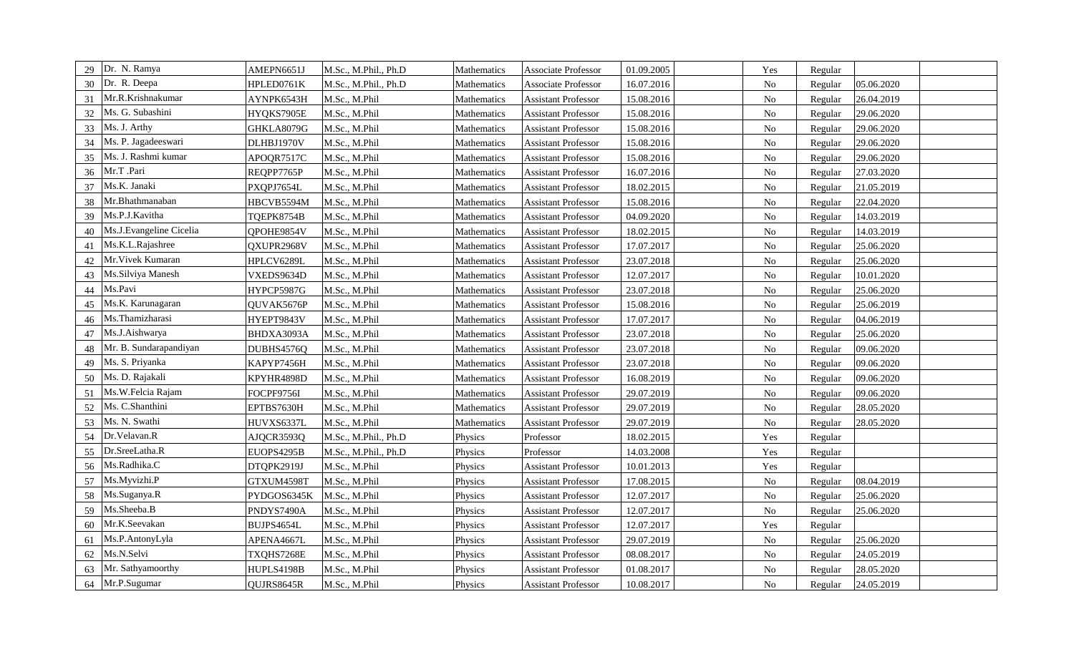| 29 | Dr. N. Ramya            | AMEPN6651J  | M.Sc., M.Phil., Ph.D | Mathematics | Associate Professor        | 01.09.2005 | Yes        | Regular |            |
|----|-------------------------|-------------|----------------------|-------------|----------------------------|------------|------------|---------|------------|
| 30 | Dr. R. Deepa            | HPLED0761K  | M.Sc., M.Phil., Ph.D | Mathematics | Associate Professor        | 16.07.2016 | $\rm No$   | Regular | 05.06.2020 |
| 31 | Mr.R.Krishnakumar       | AYNPK6543H  | M.Sc., M.Phil        | Mathematics | <b>Assistant Professor</b> | 15.08.2016 | $\rm No$   | Regular | 26.04.2019 |
| 32 | Ms. G. Subashini        | HYQKS7905E  | M.Sc., M.Phil        | Mathematics | <b>Assistant Professor</b> | 15.08.2016 | ${\rm No}$ | Regular | 29.06.2020 |
| 33 | Ms. J. Arthy            | GHKLA8079G  | M.Sc., M.Phil        | Mathematics | <b>Assistant Professor</b> | 15.08.2016 | $\rm No$   | Regular | 29.06.2020 |
| 34 | Ms. P. Jagadeeswari     | DLHBJ1970V  | M.Sc., M.Phil        | Mathematics | <b>Assistant Professor</b> | 15.08.2016 | $\rm No$   | Regular | 29.06.2020 |
| 35 | Ms. J. Rashmi kumar     | APOQR7517C  | M.Sc., M.Phil        | Mathematics | <b>Assistant Professor</b> | 15.08.2016 | $\rm No$   | Regular | 29.06.2020 |
| 36 | Mr.T .Pari              | REQPP7765P  | M.Sc., M.Phil        | Mathematics | <b>Assistant Professor</b> | 16.07.2016 | ${\rm No}$ | Regular | 27.03.2020 |
| 37 | Ms.K. Janaki            | PXQPJ7654L  | M.Sc., M.Phil        | Mathematics | <b>Assistant Professor</b> | 18.02.2015 | ${\rm No}$ | Regular | 21.05.2019 |
| 38 | Mr.Bhathmanaban         | HBCVB5594M  | M.Sc., M.Phil        | Mathematics | <b>Assistant Professor</b> | 15.08.2016 | $\rm No$   | Regular | 22.04.2020 |
| 39 | Ms.P.J.Kavitha          | TQEPK8754B  | M.Sc., M.Phil        | Mathematics | <b>Assistant Professor</b> | 04.09.2020 | ${\rm No}$ | Regular | 14.03.2019 |
| 40 | Ms.J.Evangeline Cicelia | QPOHE9854V  | M.Sc., M.Phil        | Mathematics | <b>Assistant Professor</b> | 18.02.2015 | $\rm No$   | Regular | 14.03.2019 |
| 41 | Ms.K.L.Rajashree        | QXUPR2968V  | M.Sc., M.Phil        | Mathematics | <b>Assistant Professor</b> | 17.07.2017 | $\rm No$   | Regular | 25.06.2020 |
| 42 | Mr. Vivek Kumaran       | HPLCV6289L  | M.Sc., M.Phil        | Mathematics | <b>Assistant Professor</b> | 23.07.2018 | $\rm No$   | Regular | 25.06.2020 |
| 43 | Ms.Silviya Manesh       | VXEDS9634D  | M.Sc., M.Phil        | Mathematics | <b>Assistant Professor</b> | 12.07.2017 | $\rm No$   | Regular | 10.01.2020 |
| 44 | Ms.Pavi                 | HYPCP5987G  | M.Sc., M.Phil        | Mathematics | <b>Assistant Professor</b> | 23.07.2018 | $\rm No$   | Regular | 25.06.2020 |
| 45 | Ms.K. Karunagaran       | QUVAK5676P  | M.Sc., M.Phil        | Mathematics | <b>Assistant Professor</b> | 15.08.2016 | $\rm No$   | Regular | 25.06.2019 |
| 46 | Ms.Thamizharasi         | HYEPT9843V  | M.Sc., M.Phil        | Mathematics | <b>Assistant Professor</b> | 17.07.2017 | $\rm No$   | Regular | 04.06.2019 |
| 47 | Ms.J.Aishwarya          | BHDXA3093A  | M.Sc., M.Phil        | Mathematics | <b>Assistant Professor</b> | 23.07.2018 | $\rm No$   | Regular | 25.06.2020 |
| 48 | Mr. B. Sundarapandiyan  | DUBHS4576Q  | M.Sc., M.Phil        | Mathematics | <b>Assistant Professor</b> | 23.07.2018 | $\rm No$   | Regular | 09.06.2020 |
| 49 | Ms. S. Priyanka         | KAPYP7456H  | M.Sc., M.Phil        | Mathematics | <b>Assistant Professor</b> | 23.07.2018 | $\rm No$   | Regular | 09.06.2020 |
| 50 | Ms. D. Rajakali         | KPYHR4898D  | M.Sc., M.Phil        | Mathematics | <b>Assistant Professor</b> | 16.08.2019 | $\rm No$   | Regular | 09.06.2020 |
| 51 | Ms.W.Felcia Rajam       | FOCPF9756I  | M.Sc., M.Phil        | Mathematics | <b>Assistant Professor</b> | 29.07.2019 | $\rm No$   | Regular | 09.06.2020 |
| 52 | Ms. C.Shanthini         | EPTBS7630H  | M.Sc., M.Phil        | Mathematics | <b>Assistant Professor</b> | 29.07.2019 | ${\rm No}$ | Regular | 28.05.2020 |
| 53 | Ms. N. Swathi           | HUVXS6337L  | M.Sc., M.Phil        | Mathematics | <b>Assistant Professor</b> | 29.07.2019 | ${\rm No}$ | Regular | 28.05.2020 |
| 54 | Dr.Velavan.R            | AJQCR3593Q  | M.Sc., M.Phil., Ph.D | Physics     | Professor                  | 18.02.2015 | Yes        | Regular |            |
| 55 | Dr.SreeLatha.R          | EUOPS4295B  | M.Sc., M.Phil., Ph.D | Physics     | Professor                  | 14.03.2008 | Yes        | Regular |            |
| 56 | Ms.Radhika.C            | DTQPK2919J  | M.Sc., M.Phil        | Physics     | <b>Assistant Professor</b> | 10.01.2013 | Yes        | Regular |            |
| 57 | Ms.Myvizhi.P            | GTXUM4598T  | M.Sc., M.Phil        | Physics     | <b>Assistant Professor</b> | 17.08.2015 | $\rm No$   | Regular | 08.04.2019 |
| 58 | Ms.Suganya.R            | PYDGOS6345K | M.Sc., M.Phil        | Physics     | <b>Assistant Professor</b> | 12.07.2017 | $\rm No$   | Regular | 25.06.2020 |
| 59 | Ms.Sheeba.B             | PNDYS7490A  | M.Sc., M.Phil        | Physics     | <b>Assistant Professor</b> | 12.07.2017 | No         | Regular | 25.06.2020 |
| 60 | Mr.K.Seevakan           | BUJPS4654L  | M.Sc., M.Phil        | Physics     | <b>Assistant Professor</b> | 12.07.2017 | Yes        | Regular |            |
| 61 | Ms.P.AntonyLyla         | APENA4667L  | M.Sc., M.Phil        | Physics     | <b>Assistant Professor</b> | 29.07.2019 | $\rm No$   | Regular | 25.06.2020 |
| 62 | Ms.N.Selvi              | TXQHS7268E  | M.Sc., M.Phil        | Physics     | <b>Assistant Professor</b> | 08.08.2017 | No         | Regular | 24.05.2019 |
| 63 | Mr. Sathyamoorthy       | HUPLS4198B  | M.Sc., M.Phil        | Physics     | <b>Assistant Professor</b> | 01.08.2017 | $\rm No$   | Regular | 28.05.2020 |
| 64 | Mr.P.Sugumar            | QUJRS8645R  | M.Sc., M.Phil        | Physics     | <b>Assistant Professor</b> | 10.08.2017 | ${\rm No}$ | Regular | 24.05.2019 |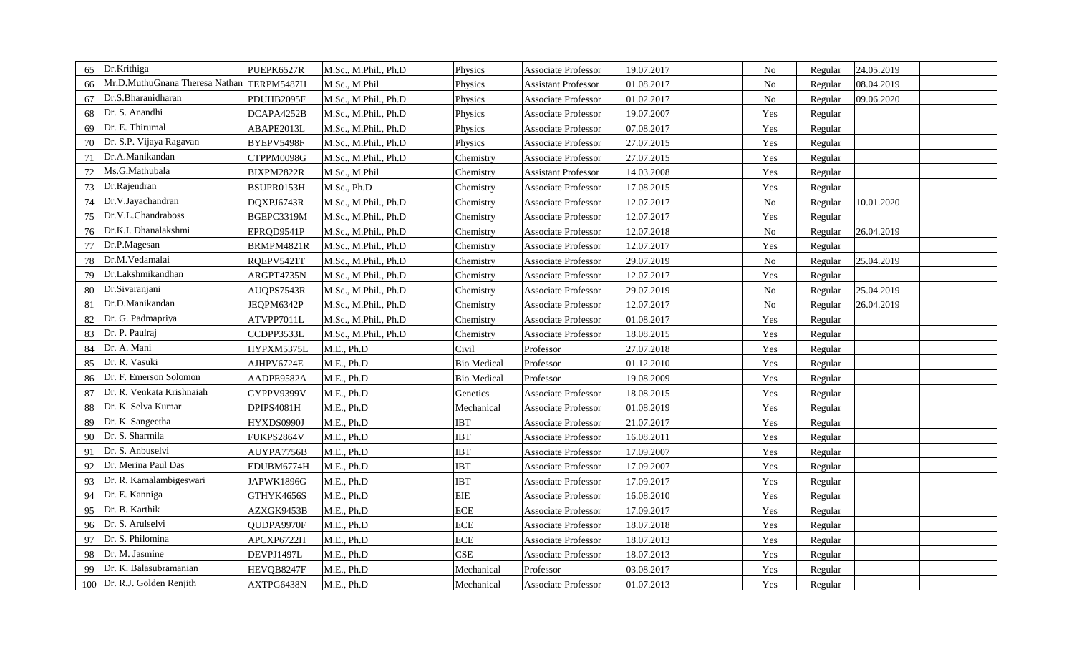| 65 | Dr.Krithiga                               | PUEPK6527R | M.Sc., M.Phil., Ph.D | Physics            | Associate Professor        | 19.07.2017 | No       | Regular | 24.05.2019 |  |
|----|-------------------------------------------|------------|----------------------|--------------------|----------------------------|------------|----------|---------|------------|--|
| 66 | Mr.D.MuthuGnana Theresa Nathan TERPM5487H |            | M.Sc., M.Phil        | Physics            | <b>Assistant Professor</b> | 01.08.2017 | $\rm No$ | Regular | 08.04.2019 |  |
| 67 | Dr.S.Bharanidharan                        | PDUHB2095F | M.Sc., M.Phil., Ph.D | Physics            | Associate Professor        | 01.02.2017 | No       | Regular | 09.06.2020 |  |
| 68 | Dr. S. Anandhi                            | DCAPA4252B | M.Sc., M.Phil., Ph.D | Physics            | Associate Professor        | 19.07.2007 | Yes      | Regular |            |  |
| 69 | Dr. E. Thirumal                           | ABAPE2013L | M.Sc., M.Phil., Ph.D | Physics            | <b>Associate Professor</b> | 07.08.2017 | Yes      | Regular |            |  |
| 70 | Dr. S.P. Vijaya Ragavan                   | BYEPV5498F | M.Sc., M.Phil., Ph.D | Physics            | Associate Professor        | 27.07.2015 | Yes      | Regular |            |  |
| 71 | Dr.A.Manikandan                           | CTPPM0098G | M.Sc., M.Phil., Ph.D | Chemistry          | <b>Associate Professor</b> | 27.07.2015 | Yes      | Regular |            |  |
| 72 | Ms.G.Mathubala                            | BIXPM2822R | M.Sc., M.Phil        | Chemistry          | <b>Assistant Professor</b> | 14.03.2008 | Yes      | Regular |            |  |
| 73 | Dr.Rajendran                              | BSUPR0153H | M.Sc., Ph.D          | Chemistry          | Associate Professor        | 17.08.2015 | Yes      | Regular |            |  |
| 74 | Dr.V.Jayachandran                         | DQXPJ6743R | M.Sc., M.Phil., Ph.D | Chemistry          | <b>Associate Professor</b> | 12.07.2017 | $\rm No$ | Regular | 10.01.2020 |  |
| 75 | Dr.V.L.Chandraboss                        | BGEPC3319M | M.Sc., M.Phil., Ph.D | Chemistry          | Associate Professor        | 12.07.2017 | Yes      | Regular |            |  |
| 76 | Dr.K.I. Dhanalakshmi                      | EPRQD9541P | M.Sc., M.Phil., Ph.D | Chemistry          | Associate Professor        | 12.07.2018 | $\rm No$ | Regular | 26.04.2019 |  |
| 77 | Dr.P.Magesan                              | BRMPM4821R | M.Sc., M.Phil., Ph.D | Chemistry          | Associate Professor        | 12.07.2017 | Yes      | Regular |            |  |
| 78 | Dr.M.Vedamalai                            | RQEPV5421T | M.Sc., M.Phil., Ph.D | Chemistry          | <b>Associate Professor</b> | 29.07.2019 | $\rm No$ | Regular | 25.04.2019 |  |
| 79 | Dr.Lakshmikandhan                         | ARGPT4735N | M.Sc., M.Phil., Ph.D | Chemistry          | Associate Professor        | 12.07.2017 | Yes      | Regular |            |  |
| 80 | Dr.Sivaranjani                            | AUQPS7543R | M.Sc., M.Phil., Ph.D | Chemistry          | Associate Professor        | 29.07.2019 | No       | Regular | 25.04.2019 |  |
| 81 | Dr.D.Manikandan                           | JEQPM6342P | M.Sc., M.Phil., Ph.D | Chemistry          | Associate Professor        | 12.07.2017 | $\rm No$ | Regular | 26.04.2019 |  |
| 82 | Dr. G. Padmapriya                         | ATVPP7011L | M.Sc., M.Phil., Ph.D | Chemistry          | Associate Professor        | 01.08.2017 | Yes      | Regular |            |  |
| 83 | Dr. P. Paulraj                            | CCDPP3533L | M.Sc., M.Phil., Ph.D | Chemistry          | Associate Professor        | 18.08.2015 | Yes      | Regular |            |  |
| 84 | Dr. A. Mani                               | HYPXM5375L | M.E., Ph.D           | Civil              | Professor                  | 27.07.2018 | Yes      | Regular |            |  |
| 85 | Dr. R. Vasuki                             | AJHPV6724E | M.E., Ph.D           | <b>Bio Medical</b> | Professor                  | 01.12.2010 | Yes      | Regular |            |  |
| 86 | Dr. F. Emerson Solomon                    | AADPE9582A | M.E., Ph.D           | <b>Bio Medical</b> | Professor                  | 19.08.2009 | Yes      | Regular |            |  |
| 87 | Dr. R. Venkata Krishnaiah                 | GYPPV9399V | M.E., Ph.D           | Genetics           | Associate Professor        | 18.08.2015 | Yes      | Regular |            |  |
| 88 | Dr. K. Selva Kumar                        | DPIPS4081H | M.E., Ph.D           | Mechanical         | Associate Professor        | 01.08.2019 | Yes      | Regular |            |  |
| 89 | Dr. K. Sangeetha                          | HYXDS0990J | M.E., Ph.D           | <b>IBT</b>         | Associate Professor        | 21.07.2017 | Yes      | Regular |            |  |
| 90 | Dr. S. Sharmila                           | FUKPS2864V | M.E., Ph.D           | <b>IBT</b>         | Associate Professor        | 16.08.2011 | Yes      | Regular |            |  |
| 91 | Dr. S. Anbuselvi                          | AUYPA7756B | M.E., Ph.D           | <b>IBT</b>         | Associate Professor        | 17.09.2007 | Yes      | Regular |            |  |
| 92 | Dr. Merina Paul Das                       | EDUBM6774H | M.E., Ph.D           | <b>IBT</b>         | Associate Professor        | 17.09.2007 | Yes      | Regular |            |  |
| 93 | Dr. R. Kamalambigeswari                   | JAPWK1896G | M.E., Ph.D           | <b>IBT</b>         | Associate Professor        | 17.09.2017 | Yes      | Regular |            |  |
| 94 | Dr. E. Kanniga                            | GTHYK4656S | M.E., Ph.D           | <b>EIE</b>         | Associate Professor        | 16.08.2010 | Yes      | Regular |            |  |
| 95 | Dr. B. Karthik                            | AZXGK9453B | M.E., Ph.D           | <b>ECE</b>         | <b>Associate Professor</b> | 17.09.2017 | Yes      | Regular |            |  |
| 96 | Dr. S. Arulselvi                          | QUDPA9970F | M.E., Ph.D           | <b>ECE</b>         | Associate Professor        | 18.07.2018 | Yes      | Regular |            |  |
| 97 | Dr. S. Philomina                          | APCXP6722H | M.E., Ph.D           | <b>ECE</b>         | <b>Associate Professor</b> | 18.07.2013 | Yes      | Regular |            |  |
| 98 | Dr. M. Jasmine                            | DEVPJ1497L | M.E., Ph.D           | <b>CSE</b>         | <b>Associate Professor</b> | 18.07.2013 | Yes      | Regular |            |  |
| 99 | Dr. K. Balasubramanian                    | HEVQB8247F | M.E., Ph.D           | Mechanical         | Professor                  | 03.08.2017 | Yes      | Regular |            |  |
|    | 100   Dr. R.J. Golden Renjith             | AXTPG6438N | M.E., Ph.D           | Mechanical         | <b>Associate Professor</b> | 01.07.2013 | Yes      | Regular |            |  |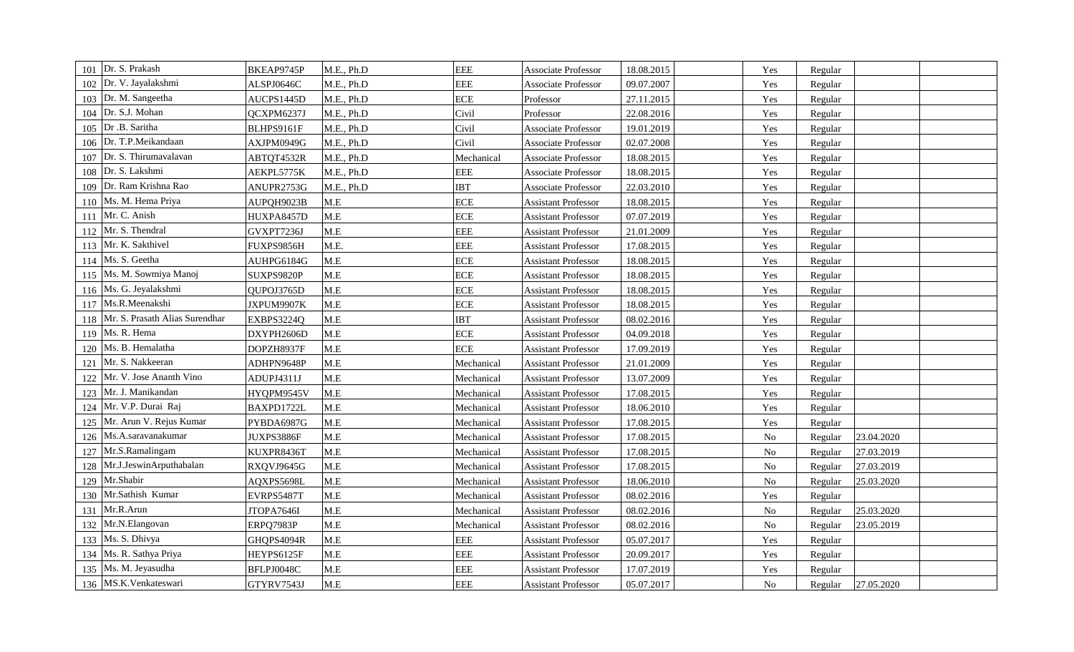| Dr. S. Prakash<br>101                 | BKEAP9745P | M.E., Ph.D | <b>EEE</b> | <b>Associate Professor</b> | 18.08.2015 | Yes      | Regular |            |  |
|---------------------------------------|------------|------------|------------|----------------------------|------------|----------|---------|------------|--|
| Dr. V. Jayalakshmi<br>102             | ALSPJ0646C | M.E., Ph.D | <b>EEE</b> | <b>Associate Professor</b> | 09.07.2007 | Yes      | Regular |            |  |
| Dr. M. Sangeetha<br>103               | AUCPS1445D | M.E., Ph.D | <b>ECE</b> | Professor                  | 27.11.2015 | Yes      | Regular |            |  |
| Dr. S.J. Mohan<br>104                 | QCXPM6237J | M.E., Ph.D | Civil      | Professor                  | 22.08.2016 | Yes      | Regular |            |  |
| Dr .B. Saritha<br>105                 | BLHPS9161F | M.E., Ph.D | Civil      | Associate Professor        | 19.01.2019 | Yes      | Regular |            |  |
| Dr. T.P.Meikandaan<br>106             | AXJPM0949G | M.E., Ph.D | Civil      | <b>Associate Professor</b> | 02.07.2008 | Yes      | Regular |            |  |
| Dr. S. Thirumavalavan<br>107          | ABTQT4532R | M.E., Ph.D | Mechanical | Associate Professor        | 18.08.2015 | Yes      | Regular |            |  |
| Dr. S. Lakshmi<br>108                 | AEKPL5775K | M.E., Ph.D | <b>EEE</b> | <b>Associate Professor</b> | 18.08.2015 | Yes      | Regular |            |  |
| Dr. Ram Krishna Rao<br>109            | ANUPR2753G | M.E., Ph.D | <b>IBT</b> | <b>Associate Professor</b> | 22.03.2010 | Yes      | Regular |            |  |
| Ms. M. Hema Priya<br>110              | AUPQH9023B | $M.E$      | <b>ECE</b> | <b>Assistant Professor</b> | 18.08.2015 | Yes      | Regular |            |  |
| Mr. C. Anish<br>111                   | HUXPA8457D | M.E        | <b>ECE</b> | <b>Assistant Professor</b> | 07.07.2019 | Yes      | Regular |            |  |
| Mr. S. Thendral<br>112                | GVXPT7236J | M.E        | <b>EEE</b> | <b>Assistant Professor</b> | 21.01.2009 | Yes      | Regular |            |  |
| Mr. K. Sakthivel<br>113               | FUXPS9856H | M.E.       | <b>EEE</b> | <b>Assistant Professor</b> | 17.08.2015 | Yes      | Regular |            |  |
| Ms. S. Geetha<br>114                  | AUHPG6184G | M.E        | <b>ECE</b> | <b>Assistant Professor</b> | 18.08.2015 | Yes      | Regular |            |  |
| Ms. M. Sowmiya Manoj<br>115           | SUXPS9820P | M.E        | <b>ECE</b> | <b>Assistant Professor</b> | 18.08.2015 | Yes      | Regular |            |  |
| Ms. G. Jeyalakshmi<br>116             | QUPOJ3765D | $M.E$      | <b>ECE</b> | <b>Assistant Professor</b> | 18.08.2015 | Yes      | Regular |            |  |
| Ms.R.Meenakshi<br>117                 | JXPUM9907K | M.E        | <b>ECE</b> | <b>Assistant Professor</b> | 18.08.2015 | Yes      | Regular |            |  |
| Mr. S. Prasath Alias Surendhar<br>118 | EXBPS3224Q | M.E        | <b>IBT</b> | <b>Assistant Professor</b> | 08.02.2016 | Yes      | Regular |            |  |
| Ms. R. Hema<br>119                    | DXYPH2606D | M.E        | <b>ECE</b> | Assistant Professor        | 04.09.2018 | Yes      | Regular |            |  |
| Ms. B. Hemalatha<br>120               | DOPZH8937F | M.E        | <b>ECE</b> | <b>Assistant Professor</b> | 17.09.2019 | Yes      | Regular |            |  |
| Mr. S. Nakkeeran<br>121               | ADHPN9648P | M.E        | Mechanical | <b>Assistant Professor</b> | 21.01.2009 | Yes      | Regular |            |  |
| Mr. V. Jose Ananth Vino<br>122        | ADUPJ4311J | M.E        | Mechanical | <b>Assistant Professor</b> | 13.07.2009 | Yes      | Regular |            |  |
| Mr. J. Manikandan<br>123              | HYQPM9545V | M.E        | Mechanical | <b>Assistant Professor</b> | 17.08.2015 | Yes      | Regular |            |  |
| Mr. V.P. Durai Raj<br>124             | BAXPD1722L | M.E        | Mechanical | <b>Assistant Professor</b> | 18.06.2010 | Yes      | Regular |            |  |
| Mr. Arun V. Rejus Kumar<br>125        | PYBDA6987G | M.E        | Mechanical | <b>Assistant Professor</b> | 17.08.2015 | Yes      | Regular |            |  |
| Ms.A.saravanakumar<br>126             | JUXPS3886F | M.E        | Mechanical | <b>Assistant Professor</b> | 17.08.2015 | $\rm No$ | Regular | 23.04.2020 |  |
| Mr.S.Ramalingam<br>127                | KUXPR8436T | M.E        | Mechanical | <b>Assistant Professor</b> | 17.08.2015 | $\rm No$ | Regular | 27.03.2019 |  |
| Mr.J.JeswinArputhabalan<br>128        | RXQVJ9645G | M.E        | Mechanical | <b>Assistant Professor</b> | 17.08.2015 | $\rm No$ | Regular | 27.03.2019 |  |
| Mr.Shabir<br>129                      | AQXPS5698L | M.E        | Mechanical | <b>Assistant Professor</b> | 18.06.2010 | $\rm No$ | Regular | 25.03.2020 |  |
| Mr.Sathish Kumar<br>130               | EVRPS5487T | $M.E$      | Mechanical | <b>Assistant Professor</b> | 08.02.2016 | Yes      | Regular |            |  |
| Mr.R.Arun<br>131                      | JTOPA7646I | M.E        | Mechanical | <b>Assistant Professor</b> | 08.02.2016 | No       | Regular | 25.03.2020 |  |
| Mr.N.Elangovan<br>132                 | ERPQ7983P  | M.E        | Mechanical | <b>Assistant Professor</b> | 08.02.2016 | No       | Regular | 23.05.2019 |  |
| Ms. S. Dhivya<br>133                  | GHQPS4094R | M.E        | <b>EEE</b> | <b>Assistant Professor</b> | 05.07.2017 | Yes      | Regular |            |  |
| Ms. R. Sathya Priya<br>134            | HEYPS6125F | M.E        | <b>EEE</b> | Assistant Professor        | 20.09.2017 | Yes      | Regular |            |  |
| Ms. M. Jeyasudha<br>135               | BFLPJ0048C | M.E        | <b>EEE</b> | <b>Assistant Professor</b> | 17.07.2019 | Yes      | Regular |            |  |
| 136 MS.K.Venkateswari                 | GTYRV7543J | $M.E$      | <b>EEE</b> | <b>Assistant Professor</b> | 05.07.2017 | No       | Regular | 27.05.2020 |  |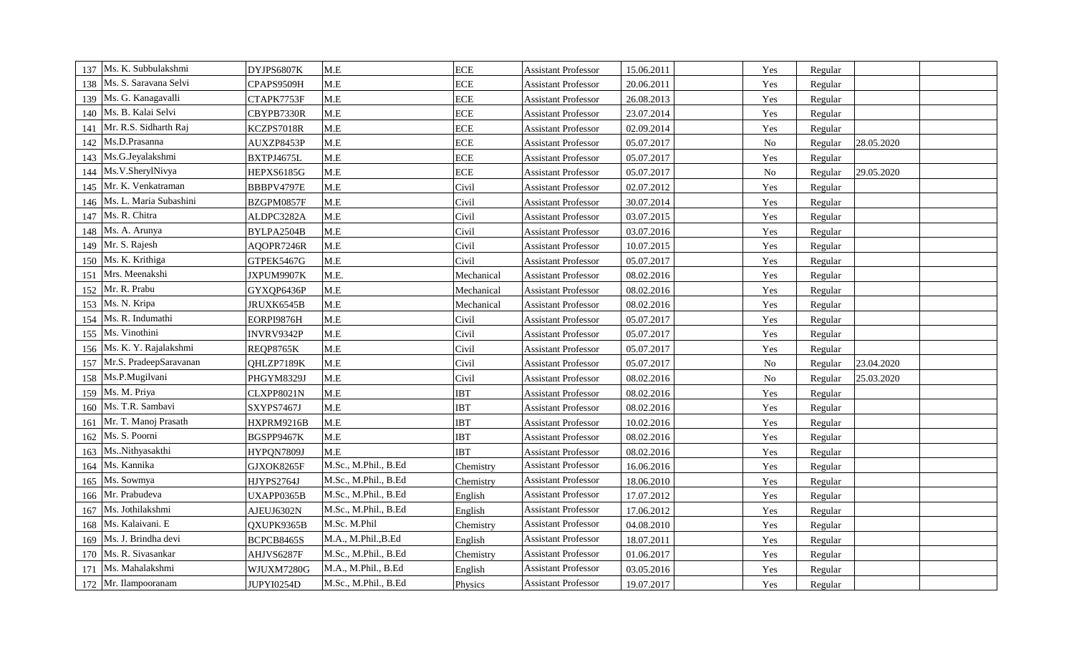| Ms. K. Subbulakshmi<br>137    | DYJPS6807K        | $M.E$                   | <b>ECE</b> | <b>Assistant Professor</b> | 15.06.2011 | Yes      | Regular |            |
|-------------------------------|-------------------|-------------------------|------------|----------------------------|------------|----------|---------|------------|
| Ms. S. Saravana Selvi<br>138  | CPAPS9509H        | $\mathbf{M}.\mathbf{E}$ | <b>ECE</b> | <b>Assistant Professor</b> | 20.06.2011 | Yes      | Regular |            |
| Ms. G. Kanagavalli<br>139     | CTAPK7753F        | M.E                     | <b>ECE</b> | <b>Assistant Professor</b> | 26.08.2013 | Yes      | Regular |            |
| Ms. B. Kalai Selvi<br>140     | CBYPB7330R        | M.E                     | <b>ECE</b> | <b>Assistant Professor</b> | 23.07.2014 | Yes      | Regular |            |
| Mr. R.S. Sidharth Raj<br>141  | KCZPS7018R        | $M.E$                   | <b>ECE</b> | <b>Assistant Professor</b> | 02.09.2014 | Yes      | Regular |            |
| Ms.D.Prasanna<br>142          | AUXZP8453P        | M.E                     | <b>ECE</b> | <b>Assistant Professor</b> | 05.07.2017 | $\rm No$ | Regular | 28.05.2020 |
| Ms.G.Jeyalakshmi<br>143       | BXTPJ4675L        | M.E                     | <b>ECE</b> | <b>Assistant Professor</b> | 05.07.2017 | Yes      | Regular |            |
| Ms.V.SherylNivya<br>144       | HEPXS6185G        | M.E                     | <b>ECE</b> | <b>Assistant Professor</b> | 05.07.2017 | $\rm No$ | Regular | 29.05.2020 |
| Mr. K. Venkatraman<br>145     | BBBPV4797E        | M.E                     | Civil      | <b>Assistant Professor</b> | 02.07.2012 | Yes      | Regular |            |
| Ms. L. Maria Subashini<br>146 | BZGPM0857F        | M.E                     | Civil      | <b>Assistant Professor</b> | 30.07.2014 | Yes      | Regular |            |
| Ms. R. Chitra<br>147          | ALDPC3282A        | M.E                     | Civil      | <b>Assistant Professor</b> | 03.07.2015 | Yes      | Regular |            |
| Ms. A. Arunya<br>148          | BYLPA2504B        | M.E                     | Civil      | <b>Assistant Professor</b> | 03.07.2016 | Yes      | Regular |            |
| Mr. S. Rajesh<br>149          | AQOPR7246R        | M.E                     | Civil      | <b>Assistant Professor</b> | 10.07.2015 | Yes      | Regular |            |
| Ms. K. Krithiga<br>150        | GTPEK5467G        | M.E                     | Civil      | <b>Assistant Professor</b> | 05.07.2017 | Yes      | Regular |            |
| Mrs. Meenakshi<br>151         | JXPUM9907K        | M.E.                    | Mechanical | <b>Assistant Professor</b> | 08.02.2016 | Yes      | Regular |            |
| Mr. R. Prabu<br>152           | GYXQP6436P        | M.E                     | Mechanical | <b>Assistant Professor</b> | 08.02.2016 | Yes      | Regular |            |
| Ms. N. Kripa<br>153           | JRUXK6545B        | M.E                     | Mechanical | <b>Assistant Professor</b> | 08.02.2016 | Yes      | Regular |            |
| Ms. R. Indumathi<br>154       | EORPI9876H        | M.E                     | Civil      | <b>Assistant Professor</b> | 05.07.2017 | Yes      | Regular |            |
| Ms. Vinothini<br>155          | INVRV9342P        | M.E                     | Civil      | <b>Assistant Professor</b> | 05.07.2017 | Yes      | Regular |            |
| Ms. K. Y. Rajalakshmi<br>156  | REQP8765K         | $M.E$                   | Civil      | <b>Assistant Professor</b> | 05.07.2017 | Yes      | Regular |            |
| Mr.S. PradeepSaravanan<br>157 | QHLZP7189K        | M.E                     | Civil      | <b>Assistant Professor</b> | 05.07.2017 | $\rm No$ | Regular | 23.04.2020 |
| 158 Ms.P.Mugilvani            | PHGYM8329J        | M.E                     | Civil      | <b>Assistant Professor</b> | 08.02.2016 | $\rm No$ | Regular | 25.03.2020 |
| Ms. M. Priya<br>159           | CLXPP8021N        | M.E                     | <b>IBT</b> | <b>Assistant Professor</b> | 08.02.2016 | Yes      | Regular |            |
| Ms. T.R. Sambavi<br>160       | SXYPS7467J        | M.E                     | <b>IBT</b> | <b>Assistant Professor</b> | 08.02.2016 | Yes      | Regular |            |
| Mr. T. Manoj Prasath<br>161   | HXPRM9216B        | $M.E$                   | <b>IBT</b> | <b>Assistant Professor</b> | 10.02.2016 | Yes      | Regular |            |
| Ms. S. Poorni<br>162          | BGSPP9467K        | M.E                     | <b>IBT</b> | <b>Assistant Professor</b> | 08.02.2016 | Yes      | Regular |            |
| MsNithyasakthi<br>163         | HYPQN7809J        | M.E                     | <b>IBT</b> | <b>Assistant Professor</b> | 08.02.2016 | Yes      | Regular |            |
| Ms. Kannika<br>164            | GJXOK8265F        | M.Sc., M.Phil., B.Ed    | Chemistry  | <b>Assistant Professor</b> | 16.06.2016 | Yes      | Regular |            |
| Ms. Sowmya<br>165             | HJYPS2764J        | M.Sc., M.Phil., B.Ed    | Chemistry  | <b>Assistant Professor</b> | 18.06.2010 | Yes      | Regular |            |
| Mr. Prabudeva<br>166          | UXAPP0365B        | M.Sc., M.Phil., B.Ed    | English    | <b>Assistant Professor</b> | 17.07.2012 | Yes      | Regular |            |
| Ms. Jothilakshmi<br>167       | AJEUJ6302N        | M.Sc., M.Phil., B.Ed    | English    | <b>Assistant Professor</b> | 17.06.2012 | Yes      | Regular |            |
| Ms. Kalaivani. E<br>168       | QXUPK9365B        | M.Sc. M.Phil            | Chemistry  | <b>Assistant Professor</b> | 04.08.2010 | Yes      | Regular |            |
| Ms. J. Brindha devi<br>169    | BCPCB8465S        | M.A., M.Phil., B.Ed     | English    | <b>Assistant Professor</b> | 18.07.2011 | Yes      | Regular |            |
| Ms. R. Sivasankar<br>170      | AHJVS6287F        | M.Sc., M.Phil., B.Ed    | Chemistry  | <b>Assistant Professor</b> | 01.06.2017 | Yes      | Regular |            |
| Ms. Mahalakshmi<br>171        | WJUXM7280G        | M.A., M.Phil., B.Ed     | English    | <b>Assistant Professor</b> | 03.05.2016 | Yes      | Regular |            |
| 172 Mr. Ilampooranam          | <b>JUPYI0254D</b> | M.Sc., M.Phil., B.Ed    | Physics    | <b>Assistant Professor</b> | 19.07.2017 | Yes      | Regular |            |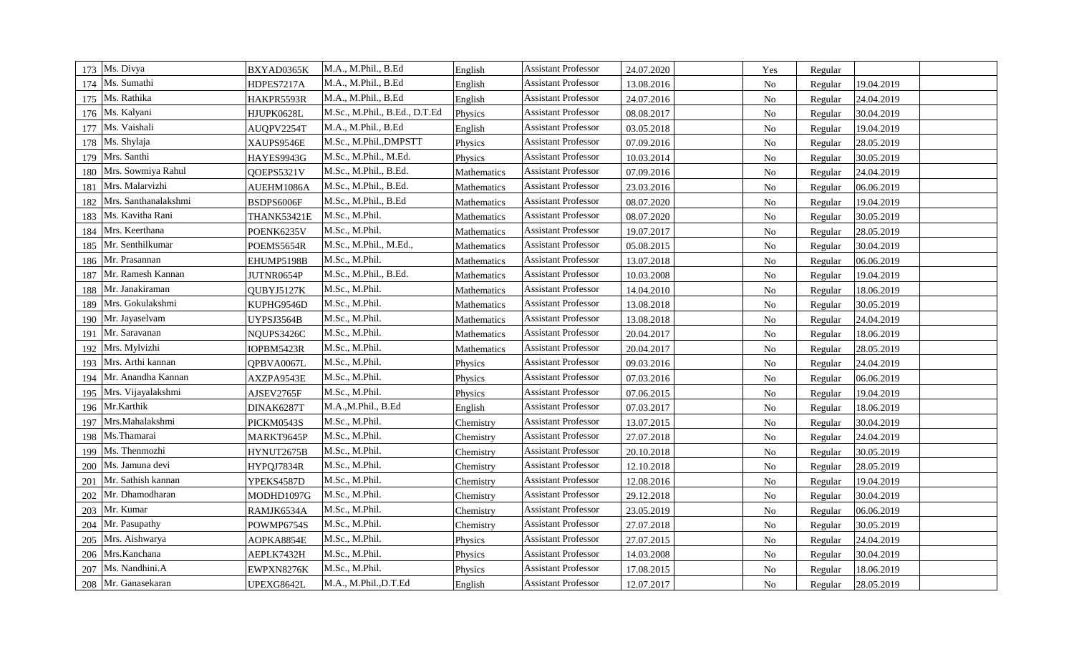| 173 Ms. Divya               | BXYAD0365K  | M.A., M.Phil., B.Ed           | English     | <b>Assistant Professor</b> | 24.07.2020 | Yes            | Regular |            |
|-----------------------------|-------------|-------------------------------|-------------|----------------------------|------------|----------------|---------|------------|
| Ms. Sumathi<br>174          | HDPES7217A  | M.A., M.Phil., B.Ed           | English     | <b>Assistant Professor</b> | 13.08.2016 | $\rm No$       | Regular | 19.04.2019 |
| Ms. Rathika<br>175          | HAKPR5593R  | M.A., M.Phil., B.Ed           | English     | <b>Assistant Professor</b> | 24.07.2016 | $\rm No$       | Regular | 24.04.2019 |
| Ms. Kalyani<br>176          | HJUPK0628L  | M.Sc., M.Phil., B.Ed., D.T.Ed | Physics     | <b>Assistant Professor</b> | 08.08.2017 | $\rm No$       | Regular | 30.04.2019 |
| Ms. Vaishali<br>177         | AUQPV2254T  | M.A., M.Phil., B.Ed           | English     | <b>Assistant Professor</b> | 03.05.2018 | $\rm No$       | Regular | 19.04.2019 |
| Ms. Shylaja<br>178          | XAUPS9546E  | M.Sc., M.Phil., DMPSTT        | Physics     | <b>Assistant Professor</b> | 07.09.2016 | $\rm No$       | Regular | 28.05.2019 |
| Mrs. Santhi<br>179          | HAYES9943G  | M.Sc., M.Phil., M.Ed.         | Physics     | <b>Assistant Professor</b> | 10.03.2014 | N <sub>o</sub> | Regular | 30.05.2019 |
| Mrs. Sowmiya Rahul<br>180   | QOEPS5321V  | M.Sc., M.Phil., B.Ed.         | Mathematics | <b>Assistant Professor</b> | 07.09.2016 | $\rm No$       | Regular | 24.04.2019 |
| Mrs. Malarvizhi<br>181      | AUEHM1086A  | M.Sc., M.Phil., B.Ed.         | Mathematics | <b>Assistant Professor</b> | 23.03.2016 | ${\rm No}$     | Regular | 06.06.2019 |
| Mrs. Santhanalakshmi<br>182 | BSDPS6006F  | M.Sc., M.Phil., B.Ed          | Mathematics | <b>Assistant Professor</b> | 08.07.2020 | $\rm No$       | Regular | 19.04.2019 |
| Ms. Kavitha Rani<br>183     | THANK53421E | M.Sc., M.Phil.                | Mathematics | <b>Assistant Professor</b> | 08.07.2020 | ${\rm No}$     | Regular | 30.05.2019 |
| Mrs. Keerthana<br>184       | POENK6235V  | M.Sc., M.Phil.                | Mathematics | <b>Assistant Professor</b> | 19.07.2017 | $\rm No$       | Regular | 28.05.2019 |
| Mr. Senthilkumar<br>185     | POEMS5654R  | M.Sc., M.Phil., M.Ed.,        | Mathematics | <b>Assistant Professor</b> | 05.08.2015 | $\rm No$       | Regular | 30.04.2019 |
| Mr. Prasannan<br>186        | EHUMP5198B  | M.Sc., M.Phil.                | Mathematics | <b>Assistant Professor</b> | 13.07.2018 | No             | Regular | 06.06.2019 |
| Mr. Ramesh Kannan<br>187    | JUTNR0654P  | M.Sc., M.Phil., B.Ed.         | Mathematics | <b>Assistant Professor</b> | 10.03.2008 | $\rm No$       | Regular | 19.04.2019 |
| Mr. Janakiraman<br>188      | QUBYJ5127K  | M.Sc., M.Phil.                | Mathematics | <b>Assistant Professor</b> | 14.04.2010 | $\rm No$       | Regular | 18.06.2019 |
| Mrs. Gokulakshmi<br>189     | KUPHG9546D  | M.Sc., M.Phil.                | Mathematics | <b>Assistant Professor</b> | 13.08.2018 | $\rm No$       | Regular | 30.05.2019 |
| Mr. Jayaselvam<br>190       | UYPSJ3564B  | M.Sc., M.Phil.                | Mathematics | <b>Assistant Professor</b> | 13.08.2018 | $\rm No$       | Regular | 24.04.2019 |
| Mr. Saravanan<br>191        | NQUPS3426C  | M.Sc., M.Phil.                | Mathematics | <b>Assistant Professor</b> | 20.04.2017 | $\rm No$       | Regular | 18.06.2019 |
| Mrs. Mylvizhi<br>192        | IOPBM5423R  | M.Sc., M.Phil.                | Mathematics | <b>Assistant Professor</b> | 20.04.2017 | $\rm No$       | Regular | 28.05.2019 |
| Mrs. Arthi kannan<br>193    | QPBVA0067L  | M.Sc., M.Phil.                | Physics     | <b>Assistant Professor</b> | 09.03.2016 | No             | Regular | 24.04.2019 |
| Mr. Anandha Kannan<br>194   | AXZPA9543E  | M.Sc., M.Phil.                | Physics     | <b>Assistant Professor</b> | 07.03.2016 | $\rm No$       | Regular | 06.06.2019 |
| Mrs. Vijayalakshmi<br>195   | AJSEV2765F  | M.Sc., M.Phil.                | Physics     | <b>Assistant Professor</b> | 07.06.2015 | $\rm No$       | Regular | 19.04.2019 |
| Mr.Karthik<br>196           | DINAK6287T  | M.A.,M.Phil., B.Ed            | English     | <b>Assistant Professor</b> | 07.03.2017 | $\rm No$       | Regular | 18.06.2019 |
| Mrs.Mahalakshmi<br>197      | PICKM0543S  | M.Sc., M.Phil.                | Chemistry   | <b>Assistant Professor</b> | 13.07.2015 | ${\rm No}$     | Regular | 30.04.2019 |
| Ms.Thamarai<br>198          | MARKT9645P  | M.Sc., M.Phil.                | Chemistry   | <b>Assistant Professor</b> | 27.07.2018 | ${\rm No}$     | Regular | 24.04.2019 |
| Ms. Thenmozhi<br>199        | HYNUT2675B  | M.Sc., M.Phil.                | Chemistry   | <b>Assistant Professor</b> | 20.10.2018 | No             | Regular | 30.05.2019 |
| Ms. Jamuna devi<br>200      | HYPQJ7834R  | M.Sc., M.Phil.                | Chemistry   | <b>Assistant Professor</b> | 12.10.2018 | N <sub>o</sub> | Regular | 28.05.2019 |
| Mr. Sathish kannan<br>201   | YPEKS4587D  | M.Sc., M.Phil.                | Chemistry   | <b>Assistant Professor</b> | 12.08.2016 | $\rm No$       | Regular | 19.04.2019 |
| Mr. Dhamodharan<br>202      | MODHD1097G  | M.Sc., M.Phil.                | Chemistry   | <b>Assistant Professor</b> | 29.12.2018 | No             | Regular | 30.04.2019 |
| Mr. Kumar<br>203            | RAMJK6534A  | M.Sc., M.Phil.                | Chemistry   | <b>Assistant Professor</b> | 23.05.2019 | N <sub>0</sub> | Regular | 06.06.2019 |
| Mr. Pasupathy<br>204        | POWMP6754S  | M.Sc., M.Phil.                | Chemistry   | <b>Assistant Professor</b> | 27.07.2018 | $\rm No$       | Regular | 30.05.2019 |
| Mrs. Aishwarya<br>205       | AOPKA8854E  | M.Sc., M.Phil.                | Physics     | <b>Assistant Professor</b> | 27.07.2015 | $\rm No$       | Regular | 24.04.2019 |
| Mrs.Kanchana<br>206         | AEPLK7432H  | M.Sc., M.Phil.                | Physics     | <b>Assistant Professor</b> | 14.03.2008 | N <sub>o</sub> | Regular | 30.04.2019 |
| Ms. Nandhini.A<br>207       | EWPXN8276K  | M.Sc., M.Phil.                | Physics     | <b>Assistant Professor</b> | 17.08.2015 | ${\rm No}$     | Regular | 18.06.2019 |
| 208 Mr. Ganasekaran         | UPEXG8642L  | M.A., M.Phil.,D.T.Ed          | English     | <b>Assistant Professor</b> | 12.07.2017 | No             | Regular | 28.05.2019 |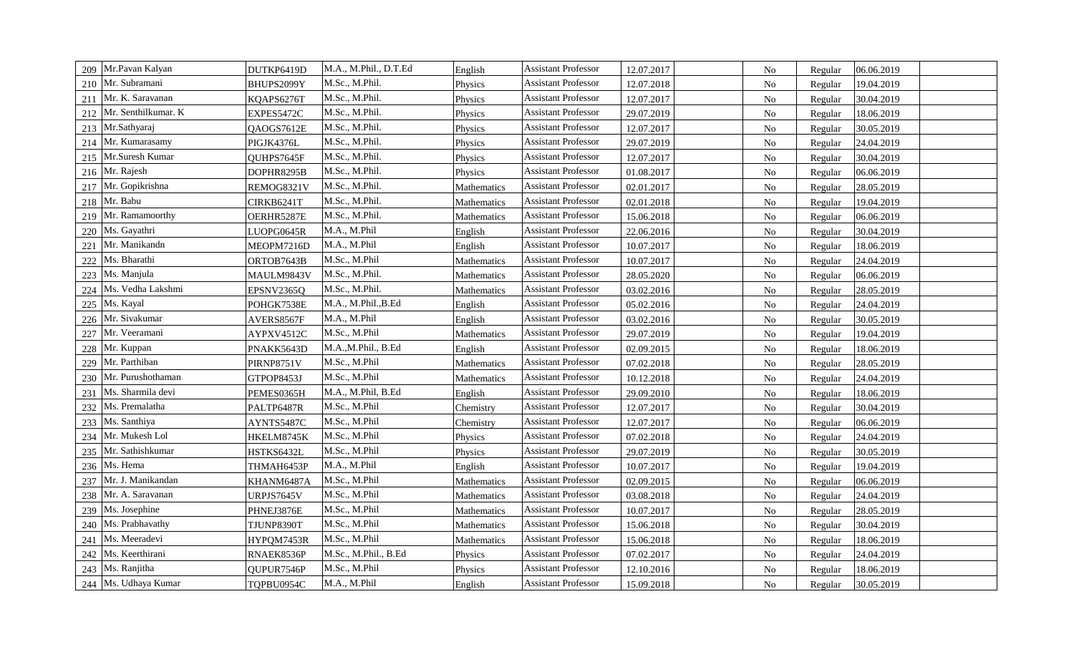| 209 | Mr.Pavan Kalyan      | DUTKP6419D | M.A., M.Phil., D.T.Ed | English     | <b>Assistant Professor</b> | 12.07.2017 | $\rm No$       | Regular | 06.06.2019 |
|-----|----------------------|------------|-----------------------|-------------|----------------------------|------------|----------------|---------|------------|
| 210 | Mr. Subramani        | BHUPS2099Y | M.Sc., M.Phil.        | Physics     | <b>Assistant Professor</b> | 12.07.2018 | $\rm No$       | Regular | 19.04.2019 |
| 211 | Mr. K. Saravanan     | KQAPS6276T | M.Sc., M.Phil.        | Physics     | <b>Assistant Professor</b> | 12.07.2017 | No             | Regular | 30.04.2019 |
| 212 | Mr. Senthilkumar. K  | EXPES5472C | M.Sc., M.Phil.        | Physics     | <b>Assistant Professor</b> | 29.07.2019 | $\rm No$       | Regular | 18.06.2019 |
| 213 | Mr.Sathyaraj         | QAOGS7612E | M.Sc., M.Phil.        | Physics     | <b>Assistant Professor</b> | 12.07.2017 | $\rm No$       | Regular | 30.05.2019 |
| 214 | Mr. Kumarasamy       | PIGJK4376L | M.Sc., M.Phil.        | Physics     | <b>Assistant Professor</b> | 29.07.2019 | $\rm No$       | Regular | 24.04.2019 |
| 215 | Mr.Suresh Kumar      | QUHPS7645F | M.Sc., M.Phil.        | Physics     | <b>Assistant Professor</b> | 12.07.2017 | $\rm No$       | Regular | 30.04.2019 |
|     | 216 Mr. Rajesh       | DOPHR8295B | M.Sc., M.Phil.        | Physics     | <b>Assistant Professor</b> | 01.08.2017 | $\rm No$       | Regular | 06.06.2019 |
|     | 217 Mr. Gopikrishna  | REMOG8321V | M.Sc., M.Phil.        | Mathematics | <b>Assistant Professor</b> | 02.01.2017 | ${\rm No}$     | Regular | 28.05.2019 |
| 218 | Mr. Babu             | CIRKB6241T | M.Sc., M.Phil.        | Mathematics | <b>Assistant Professor</b> | 02.01.2018 | ${\rm No}$     | Regular | 19.04.2019 |
|     | 219 Mr. Ramamoorthy  | OERHR5287E | M.Sc., M.Phil.        | Mathematics | <b>Assistant Professor</b> | 15.06.2018 | ${\rm No}$     | Regular | 06.06.2019 |
| 220 | Ms. Gayathri         | LUOPG0645R | M.A., M.Phil          | English     | <b>Assistant Professor</b> | 22.06.2016 | ${\rm No}$     | Regular | 30.04.2019 |
| 221 | Mr. Manikandn        | MEOPM7216D | M.A., M.Phil          | English     | <b>Assistant Professor</b> | 10.07.2017 | $\rm No$       | Regular | 18.06.2019 |
| 222 | Ms. Bharathi         | ORTOB7643B | M.Sc., M.Phil         | Mathematics | <b>Assistant Professor</b> | 10.07.2017 | $\rm No$       | Regular | 24.04.2019 |
| 223 | Ms. Manjula          | MAULM9843V | M.Sc., M.Phil.        | Mathematics | Assistant Professor        | 28.05.2020 | $\rm No$       | Regular | 06.06.2019 |
| 224 | Ms. Vedha Lakshmi    | EPSNV2365Q | M.Sc., M.Phil.        | Mathematics | <b>Assistant Professor</b> | 03.02.2016 | $\rm No$       | Regular | 28.05.2019 |
| 225 | Ms. Kayal            | POHGK7538E | M.A., M.Phil., B.Ed   | English     | <b>Assistant Professor</b> | 05.02.2016 | No             | Regular | 24.04.2019 |
| 226 | Mr. Sivakumar        | AVERS8567F | M.A., M.Phil          | English     | <b>Assistant Professor</b> | 03.02.2016 | $\rm No$       | Regular | 30.05.2019 |
| 227 | Mr. Veeramani        | AYPXV4512C | M.Sc., M.Phil         | Mathematics | <b>Assistant Professor</b> | 29.07.2019 | $\rm No$       | Regular | 19.04.2019 |
| 228 | Mr. Kuppan           | PNAKK5643D | M.A.,M.Phil., B.Ed    | English     | <b>Assistant Professor</b> | 02.09.2015 | $\rm No$       | Regular | 18.06.2019 |
| 229 | Mr. Parthiban        | PIRNP8751V | M.Sc., M.Phil         | Mathematics | <b>Assistant Professor</b> | 07.02.2018 | $\rm No$       | Regular | 28.05.2019 |
| 230 | Mr. Purushothaman    | GTPOP8453J | M.Sc., M.Phil         | Mathematics | <b>Assistant Professor</b> | 10.12.2018 | $\rm No$       | Regular | 24.04.2019 |
| 231 | Ms. Sharmila devi    | PEMES0365H | M.A., M.Phil, B.Ed    | English     | <b>Assistant Professor</b> | 29.09.2010 | ${\rm No}$     | Regular | 18.06.2019 |
| 232 | Ms. Premalatha       | PALTP6487R | M.Sc., M.Phil         | Chemistry   | <b>Assistant Professor</b> | 12.07.2017 | ${\rm No}$     | Regular | 30.04.2019 |
|     | 233 Ms. Santhiya     | AYNTS5487C | M.Sc., M.Phil         | Chemistry   | <b>Assistant Professor</b> | 12.07.2017 | ${\rm No}$     | Regular | 06.06.2019 |
| 234 | Mr. Mukesh Lol       | HKELM8745K | M.Sc., M.Phil         | Physics     | <b>Assistant Professor</b> | 07.02.2018 | ${\bf No}$     | Regular | 24.04.2019 |
| 235 | Mr. Sathishkumar     | HSTKS6432L | M.Sc., M.Phil         | Physics     | <b>Assistant Professor</b> | 29.07.2019 | $\rm No$       | Regular | 30.05.2019 |
| 236 | Ms. Hema             | THMAH6453P | M.A., M.Phil          | English     | <b>Assistant Professor</b> | 10.07.2017 | $\rm No$       | Regular | 19.04.2019 |
| 237 | Mr. J. Manikandan    | KHANM6487A | M.Sc., M.Phil         | Mathematics | <b>Assistant Professor</b> | 02.09.2015 | $\rm No$       | Regular | 06.06.2019 |
| 238 | Mr. A. Saravanan     | URPJS7645V | M.Sc., M.Phil         | Mathematics | <b>Assistant Professor</b> | 03.08.2018 | $\rm No$       | Regular | 24.04.2019 |
| 239 | Ms. Josephine        | PHNEJ3876E | M.Sc., M.Phil         | Mathematics | <b>Assistant Professor</b> | 10.07.2017 | $\rm No$       | Regular | 28.05.2019 |
| 240 | Ms. Prabhavathy      | TJUNP8390T | M.Sc., M.Phil         | Mathematics | <b>Assistant Professor</b> | 15.06.2018 | $\rm No$       | Regular | 30.04.2019 |
| 241 | Ms. Meeradevi        | HYPQM7453R | M.Sc., M.Phil         | Mathematics | <b>Assistant Professor</b> | 15.06.2018 | $\rm No$       | Regular | 18.06.2019 |
| 242 | Ms. Keerthirani      | RNAEK8536P | M.Sc., M.Phil., B.Ed  | Physics     | <b>Assistant Professor</b> | 07.02.2017 | $\rm No$       | Regular | 24.04.2019 |
|     | 243 Ms. Ranjitha     | OUPUR7546P | M.Sc., M.Phil         | Physics     | <b>Assistant Professor</b> | 12.10.2016 | ${\rm No}$     | Regular | 18.06.2019 |
|     | 244 Ms. Udhaya Kumar | TQPBU0954C | M.A., M.Phil          | English     | <b>Assistant Professor</b> | 15.09.2018 | N <sub>o</sub> | Regular | 30.05.2019 |